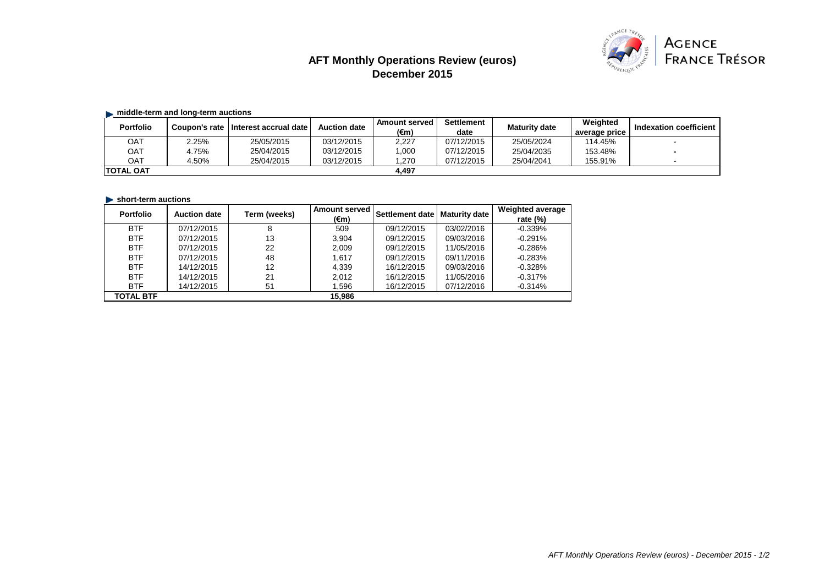# **AFT Monthly Operations Review (euros) December 2015**



## $\blacksquare$  middle-term and long-term auctions

| <b>Portfolio</b> | <b>Coupon's rate</b> | I Interest accrual date | <b>Auction date</b> | Amount served<br>(€m | <b>Settlement</b><br>date | <b>Maturity date</b> | Weighted<br>average price | Indexation coefficient |
|------------------|----------------------|-------------------------|---------------------|----------------------|---------------------------|----------------------|---------------------------|------------------------|
| OAT              | 2.25%                | 25/05/2015              | 03/12/2015          | 2,227                | 07/12/2015                | 25/05/2024           | 114.45%                   |                        |
| OAT              | 4.75%                | 25/04/2015              | 03/12/2015          | ,000                 | 07/12/2015                | 25/04/2035           | 153.48%                   |                        |
| OAT              | 4.50%                | 25/04/2015              | 03/12/2015          | .270                 | 07/12/2015                | 25/04/2041           | 155.91%                   |                        |
| ITOTAL OAT       |                      |                         |                     | 4.497                |                           |                      |                           |                        |

## **Short-term auctions**

| <b>Portfolio</b> | <b>Auction date</b> | Term (weeks) | <b>Amount served</b> | Settlement date | <b>Maturity date</b> | <b>Weighted average</b> |
|------------------|---------------------|--------------|----------------------|-----------------|----------------------|-------------------------|
|                  |                     |              | (€m)                 |                 |                      | rate $(%)$              |
| <b>BTF</b>       | 07/12/2015          | 8            | 509                  | 09/12/2015      | 03/02/2016           | $-0.339%$               |
| <b>BTF</b>       | 07/12/2015          | 13           | 3.904                | 09/12/2015      | 09/03/2016           | $-0.291%$               |
| <b>BTF</b>       | 07/12/2015          | 22           | 2.009                | 09/12/2015      | 11/05/2016           | $-0.286%$               |
| <b>BTF</b>       | 07/12/2015          | 48           | 1.617                | 09/12/2015      | 09/11/2016           | $-0.283%$               |
| <b>BTF</b>       | 14/12/2015          | 12           | 4.339                | 16/12/2015      | 09/03/2016           | $-0.328%$               |
| <b>BTF</b>       | 14/12/2015          | 21           | 2.012                | 16/12/2015      | 11/05/2016           | $-0.317%$               |
| <b>BTF</b>       | 14/12/2015          | 51           | 1.596                | 16/12/2015      | 07/12/2016           | $-0.314%$               |
| <b>TOTAL BTF</b> |                     |              | 15.986               |                 |                      |                         |